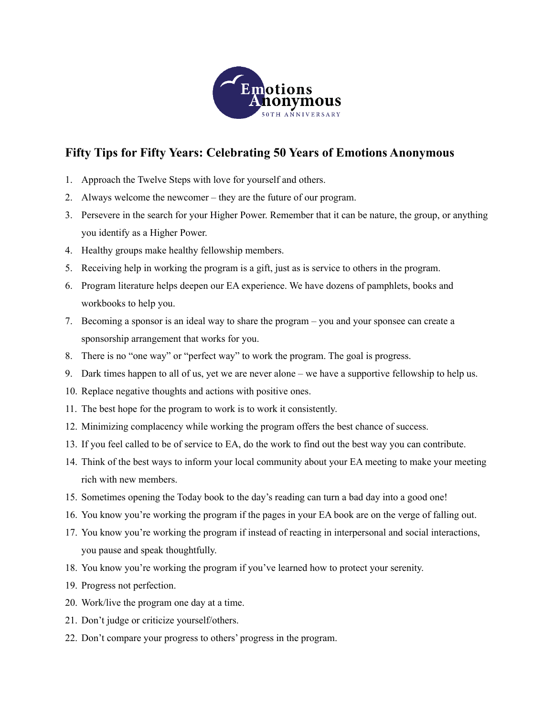

## **Fifty Tips for Fifty Years: Celebrating 50 Years of Emotions Anonymous**

- 1. Approach the Twelve Steps with love for yourself and others.
- 2. Always welcome the newcomer they are the future of our program.
- 3. Persevere in the search for your Higher Power. Remember that it can be nature, the group, or anything you identify as a Higher Power.
- 4. Healthy groups make healthy fellowship members.
- 5. Receiving help in working the program is a gift, just as is service to others in the program.
- 6. Program literature helps deepen our EA experience. We have dozens of pamphlets, books and workbooks to help you.
- 7. Becoming a sponsor is an ideal way to share the program you and your sponsee can create a sponsorship arrangement that works for you.
- 8. There is no "one way" or "perfect way" to work the program. The goal is progress.
- 9. Dark times happen to all of us, yet we are never alone we have a supportive fellowship to help us.
- 10. Replace negative thoughts and actions with positive ones.
- 11. The best hope for the program to work is to work it consistently.
- 12. Minimizing complacency while working the program offers the best chance of success.
- 13. If you feel called to be of service to EA, do the work to find out the best way you can contribute.
- 14. Think of the best ways to inform your local community about your EA meeting to make your meeting rich with new members.
- 15. Sometimes opening the Today book to the day's reading can turn a bad day into a good one!
- 16. You know you're working the program if the pages in your EA book are on the verge of falling out.
- 17. You know you're working the program if instead of reacting in interpersonal and social interactions, you pause and speak thoughtfully.
- 18. You know you're working the program if you've learned how to protect your serenity.
- 19. Progress not perfection.
- 20. Work/live the program one day at a time.
- 21. Don't judge or criticize yourself/others.
- 22. Don't compare your progress to others' progress in the program.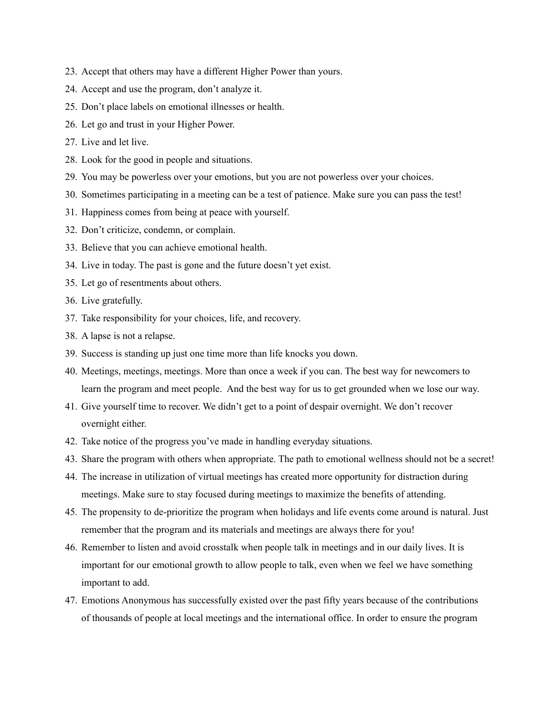- 23. Accept that others may have a different Higher Power than yours.
- 24. Accept and use the program, don't analyze it.
- 25. Don't place labels on emotional illnesses or health.
- 26. Let go and trust in your Higher Power.
- 27. Live and let live.
- 28. Look for the good in people and situations.
- 29. You may be powerless over your emotions, but you are not powerless over your choices.
- 30. Sometimes participating in a meeting can be a test of patience. Make sure you can pass the test!
- 31. Happiness comes from being at peace with yourself.
- 32. Don't criticize, condemn, or complain.
- 33. Believe that you can achieve emotional health.
- 34. Live in today. The past is gone and the future doesn't yet exist.
- 35. Let go of resentments about others.
- 36. Live gratefully.
- 37. Take responsibility for your choices, life, and recovery.
- 38. A lapse is not a relapse.
- 39. Success is standing up just one time more than life knocks you down.
- 40. Meetings, meetings, meetings. More than once a week if you can. The best way for newcomers to learn the program and meet people. And the best way for us to get grounded when we lose our way.
- 41. Give yourself time to recover. We didn't get to a point of despair overnight. We don't recover overnight either.
- 42. Take notice of the progress you've made in handling everyday situations.
- 43. Share the program with others when appropriate. The path to emotional wellness should not be a secret!
- 44. The increase in utilization of virtual meetings has created more opportunity for distraction during meetings. Make sure to stay focused during meetings to maximize the benefits of attending.
- 45. The propensity to de-prioritize the program when holidays and life events come around is natural. Just remember that the program and its materials and meetings are always there for you!
- 46. Remember to listen and avoid crosstalk when people talk in meetings and in our daily lives. It is important for our emotional growth to allow people to talk, even when we feel we have something important to add.
- 47. Emotions Anonymous has successfully existed over the past fifty years because of the contributions of thousands of people at local meetings and the international office. In order to ensure the program